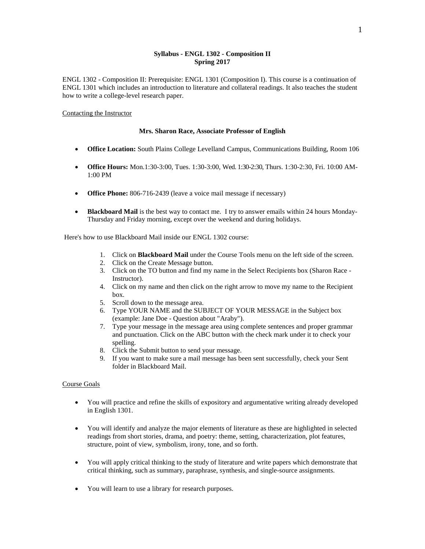## **Syllabus - ENGL 1302 - Composition II Spring 2017**

ENGL 1302 - Composition II: Prerequisite: ENGL 1301 (Composition I). This course is a continuation of ENGL 1301 which includes an introduction to literature and collateral readings. It also teaches the student how to write a college-level research paper.

#### Contacting the Instructor

#### **Mrs. Sharon Race, Associate Professor of English**

- **Office Location:** South Plains College Levelland Campus, Communications Building, Room 106
- **Office Hours:** Mon.1:30-3:00, Tues. 1:30-3:00, Wed. 1:30-2:30, Thurs. 1:30-2:30, Fri. 10:00 AM-1:00 PM
- **Office Phone:** 806-716-2439 (leave a voice mail message if necessary)
- **Blackboard Mail** is the best way to contact me. I try to answer emails within 24 hours Monday-Thursday and Friday morning, except over the weekend and during holidays.

Here's how to use Blackboard Mail inside our ENGL 1302 course:

- 1. Click on **Blackboard Mail** under the Course Tools menu on the left side of the screen.
- 2. Click on the Create Message button.
- 3. Click on the TO button and find my name in the Select Recipients box (Sharon Race Instructor).
- 4. Click on my name and then click on the right arrow to move my name to the Recipient box.
- 5. Scroll down to the message area.
- 6. Type YOUR NAME and the SUBJECT OF YOUR MESSAGE in the Subject box (example: Jane Doe - Question about "Araby").
- 7. Type your message in the message area using complete sentences and proper grammar and punctuation. Click on the ABC button with the check mark under it to check your spelling.
- 8. Click the Submit button to send your message.
- 9. If you want to make sure a mail message has been sent successfully, check your Sent folder in Blackboard Mail.

### Course Goals

- You will practice and refine the skills of expository and argumentative writing already developed in English 1301.
- You will identify and analyze the major elements of literature as these are highlighted in selected readings from short stories, drama, and poetry: theme, setting, characterization, plot features, structure, point of view, symbolism, irony, tone, and so forth.
- You will apply critical thinking to the study of literature and write papers which demonstrate that critical thinking, such as summary, paraphrase, synthesis, and single-source assignments.
- You will learn to use a library for research purposes.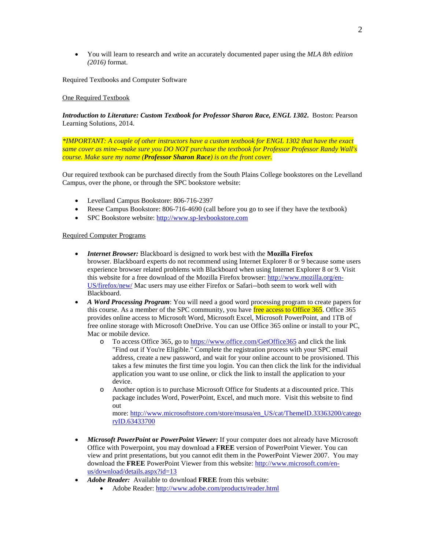• You will learn to research and write an accurately documented paper using the *MLA 8th edition (2016)* format.

Required Textbooks and Computer Software

## One Required Textbook

*Introduction to Literature: Custom Textbook for Professor Sharon Race, ENGL 1302***.** Boston: Pearson Learning Solutions, 2014.

*\*IMPORTANT: A couple of other instructors have a custom textbook for ENGL 1302 that have the exact same cover as mine--make sure you DO NOT purchase the textbook for Professor Professor Randy Wall's course. Make sure my name (Professor Sharon Race) is on the front cover.*

Our required textbook can be purchased directly from the South Plains College bookstores on the Levelland Campus, over the phone, or through the SPC bookstore website:

- Levelland Campus Bookstore: 806-716-2397
- Reese Campus Bookstore: 806-716-4690 (call before you go to see if they have the textbook)
- SPC Bookstore website[: http://www.sp-levbookstore.com](http://www.sp-levbookstore.com/)

#### Required Computer Programs

- *Internet Browser:* Blackboard is designed to work best with the **Mozilla Firefox** browser. Blackboard experts do not recommend using Internet Explorer 8 or 9 because some users experience browser related problems with Blackboard when using Internet Explorer 8 or 9. Visit this website for a free download of the Mozilla Firefox browser: [http://www.mozilla.org/en-](http://www.mozilla.org/en-US/firefox/new/)[US/firefox/new/](http://www.mozilla.org/en-US/firefox/new/) Mac users may use either Firefox or Safari--both seem to work well with Blackboard.
- *A Word Processing Program*: You will need a good word processing program to create papers for this course. As a member of the SPC community, you have free access to Office 365. Office 365 provides online access to Microsoft Word, Microsoft Excel, Microsoft PowerPoint, and 1TB of free online storage with Microsoft OneDrive. You can use Office 365 online or install to your PC, Mac or mobile device.
	- o To access Office 365, go to<https://www.office.com/GetOffice365> and click the link "Find out if You're Eligible." Complete the registration process with your SPC email address, create a new password, and wait for your online account to be provisioned. This takes a few minutes the first time you login. You can then click the link for the individual application you want to use online, or click the link to install the application to your device.
	- o Another option is to purchase Microsoft Office for Students at a discounted price. This package includes Word, PowerPoint, Excel, and much more. Visit this website to find out

more: [http://www.microsoftstore.com/store/msusa/en\\_US/cat/ThemeID.33363200/catego](http://www.microsoftstore.com/store/msusa/en_US/cat/ThemeID.33363200/categoryID.63433700) [ryID.63433700](http://www.microsoftstore.com/store/msusa/en_US/cat/ThemeID.33363200/categoryID.63433700)

- *Microsoft PowerPoint* **or** *PowerPoint Viewer:* If your computer does not already have Microsoft Office with Powerpoint, you may download a **FREE** version of PowerPoint Viewer. You can view and print presentations, but you cannot edit them in the PowerPoint Viewer 2007. You may download the **FREE** PowerPoint Viewer from this website[: http://www.microsoft.com/en](http://www.microsoft.com/en-us/download/details.aspx?id=13)[us/download/details.aspx?id=13](http://www.microsoft.com/en-us/download/details.aspx?id=13)
- *Adobe Reader:* Available to download **FREE** from this website:
	- Adobe Reader:<http://www.adobe.com/products/reader.html>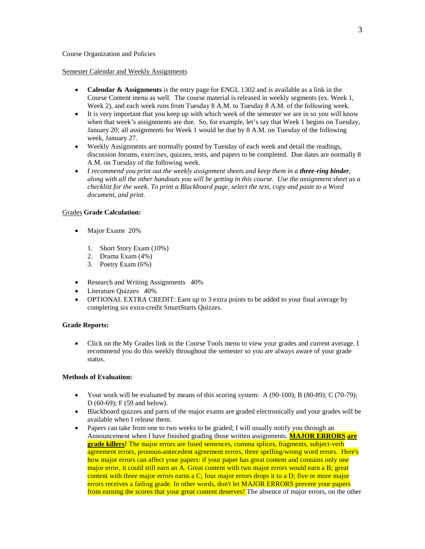#### Semester Calendar and Weekly Assignments

- **Calendar & Assignments** is the entry page for ENGL 1302 and is available as a link in the Course Content menu as well. The course material is released in weekly segments (ex. Week 1, Week 2), and each week runs from Tuesday 8 A.M. to Tuesday 8 A.M. of the following week.
- It is very important that you keep up with which week of the semester we are in so you will know when that week's assignments are due. So, for example, let's say that Week 1 begins on Tuesday, January 20; all assignments for Week 1 would be due by 8 A.M. on Tuesday of the following week, January 27.
- Weekly Assignments are normally posted by Tuesday of each week and detail the readings, discussion forums, exercises, quizzes, tests, and papers to be completed. Due dates are normally 8 A.M. on Tuesday of the following week.
- *I recommend you print out the weekly assignment sheets and keep them in a <i>three-ring binder*, *along with all the other handouts you will be getting in this course. Use the assignment sheet as a checklist for the week. To print a Blackboard page, select the text, copy and paste to a Word document, and print.*

#### Grades **Grade Calculation:**

- Major Exams 20%
	- 1. Short Story Exam (10%)
	- 2. Drama Exam  $(4\%)$
	- 3. Poetry Exam (6%)
- Research and Writing Assignments 40%
- Literature Quizzes 40%
- OPTIONAL EXTRA CREDIT: Earn up to 3 extra points to be added to your final average by completing six extra-credit SmartStarts Quizzes.

#### **Grade Reports:**

• Click on the My Grades link in the Course Tools menu to view your grades and current average. I recommend you do this weekly throughout the semester so you are always aware of your grade status.

### **Methods of Evaluation:**

- Your work will be evaluated by means of this scoring system:  $A(90-100)$ ;  $B(80-89)$ ; C (70-79); D (60-69); F (59 and below).
- Blackboard quizzes and parts of the major exams are graded electronically and your grades will be available when I release them.
- Papers can take from one to two weeks to be graded; I will usually notify you through an Announcement when I have finished grading those written assignments. **MAJOR ERRORS are grade killers!** The major errors are fused sentences, comma splices, fragments, subject-verb agreement errors, pronoun-antecedent agreement errors, three spelling/wrong word errors. Here's how major errors can affect your papers: if your paper has great content and contains only one major error, it could still earn an A. Great content with two major errors would earn a B; great content with three major errors earns a C; four major errors drops it to a D; five or more major errors receives a failing grade. In other words, don't let MAJOR ERRORS prevent your papers from earning the scores that your great content deserves! The absence of major errors, on the other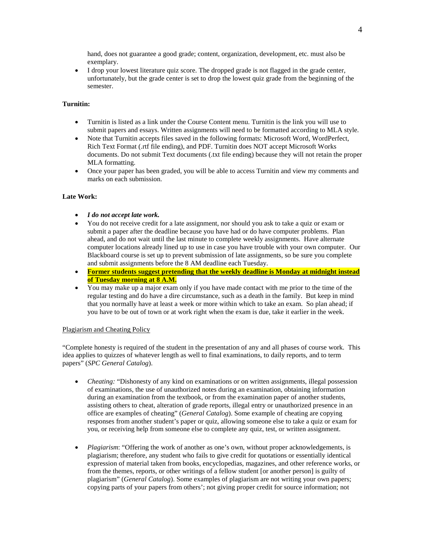hand, does not guarantee a good grade; content, organization, development, etc. must also be exemplary.

• I drop your lowest literature quiz score. The dropped grade is not flagged in the grade center, unfortunately, but the grade center is set to drop the lowest quiz grade from the beginning of the semester.

## **Turnitin:**

- Turnitin is listed as a link under the Course Content menu. Turnitin is the link you will use to submit papers and essays. Written assignments will need to be formatted according to MLA style.
- Note that Turnitin accepts files saved in the following formats: Microsoft Word, WordPerfect, Rich Text Format (.rtf file ending), and PDF. Turnitin does NOT accept Microsoft Works documents. Do not submit Text documents (.txt file ending) because they will not retain the proper MLA formatting.
- Once your paper has been graded, you will be able to access Turnitin and view my comments and marks on each submission.

## **Late Work:**

- *I do not accept late work.*
- You do not receive credit for a late assignment, nor should you ask to take a quiz or exam or submit a paper after the deadline because you have had or do have computer problems. Plan ahead, and do not wait until the last minute to complete weekly assignments. Have alternate computer locations already lined up to use in case you have trouble with your own computer. Our Blackboard course is set up to prevent submission of late assignments, so be sure you complete and submit assignments before the 8 AM deadline each Tuesday.
- **Former students suggest pretending that the weekly deadline is Monday at midnight instead of Tuesday morning at 8 A.M.**
- You may make up a major exam only if you have made contact with me prior to the time of the regular testing and do have a dire circumstance, such as a death in the family. But keep in mind that you normally have at least a week or more within which to take an exam. So plan ahead; if you have to be out of town or at work right when the exam is due, take it earlier in the week.

#### Plagiarism and Cheating Policy

"Complete honesty is required of the student in the presentation of any and all phases of course work. This idea applies to quizzes of whatever length as well to final examinations, to daily reports, and to term papers" (*SPC General Catalog*).

- *Cheating:* "Dishonesty of any kind on examinations or on written assignments, illegal possession of examinations, the use of unauthorized notes during an examination, obtaining information during an examination from the textbook, or from the examination paper of another students, assisting others to cheat, alteration of grade reports, illegal entry or unauthorized presence in an office are examples of cheating" (*General Catalog*). Some example of cheating are copying responses from another student's paper or quiz, allowing someone else to take a quiz or exam for you, or receiving help from someone else to complete any quiz, test, or written assignment.
- *Plagiarism*: "Offering the work of another as one's own, without proper acknowledgements, is plagiarism; therefore, any student who fails to give credit for quotations or essentially identical expression of material taken from books, encyclopedias, magazines, and other reference works, or from the themes, reports, or other writings of a fellow student [or another person] is guilty of plagiarism" (*General Catalog*). Some examples of plagiarism are not writing your own papers; copying parts of your papers from others'; not giving proper credit for source information; not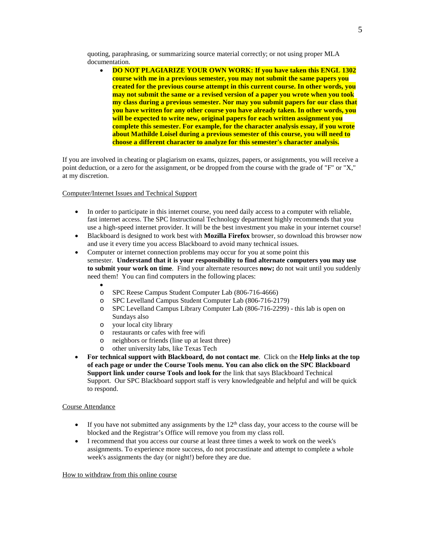quoting, paraphrasing, or summarizing source material correctly; or not using proper MLA documentation.

• **DO NOT PLAGIARIZE YOUR OWN WORK: If you have taken this ENGL 1302 course with me in a previous semester, you may not submit the same papers you created for the previous course attempt in this current course. In other words, you may not submit the same or a revised version of a paper you wrote when you took my class during a previous semester. Nor may you submit papers for our class that you have written for any other course you have already taken. In other words, you will be expected to write new, original papers for each written assignment you complete this semester. For example, for the character analysis essay, if you wrote about Mathilde Loisel during a previous semester of this course, you will need to choose a different character to analyze for this semester's character analysis.**

If you are involved in cheating or plagiarism on exams, quizzes, papers, or assignments, you will receive a point deduction, or a zero for the assignment, or be dropped from the course with the grade of "F" or "X," at my discretion.

Computer/Internet Issues and Technical Support

- In order to participate in this internet course, you need daily access to a computer with reliable, fast internet access. The SPC Instructional Technology department highly recommends that you use a high-speed internet provider. It will be the best investment you make in your internet course!
- Blackboard is designed to work best with **Mozilla Firefox** browser, so download this browser now and use it every time you access Blackboard to avoid many technical issues.
- Computer or internet connection problems may occur for you at some point this semester. **Understand that it is your responsibility to find alternate computers you may use to submit your work on time***.* Find your alternate resources **now;** do not wait until you suddenly need them! You can find computers in the following places:
	- •
	- o SPC Reese Campus Student Computer Lab (806-716-4666)
	- o SPC Levelland Campus Student Computer Lab (806-716-2179)
	- SPC Levelland Campus Library Computer Lab (806-716-2299) this lab is open on Sundays also
	-
	- o your local city library
	- o restaurants or cafes with free wifi neighbors or friends (line up at least three)
	- o other university labs, like Texas Tech
- **For technical support with Blackboard, do not contact me**. Click on the **Help links at the top of each page or under the Course Tools menu. You can also click on the SPC Blackboard Support link under course Tools and look for** the link that says Blackboard Technical Support. Our SPC Blackboard support staff is very knowledgeable and helpful and will be quick to respond.

#### Course Attendance

- If you have not submitted any assignments by the  $12<sup>th</sup>$  class day, your access to the course will be blocked and the Registrar's Office will remove you from my class roll.
- I recommend that you access our course at least three times a week to work on the week's assignments. To experience more success, do not procrastinate and attempt to complete a whole week's assignments the day (or night!) before they are due.

#### How to withdraw from this online course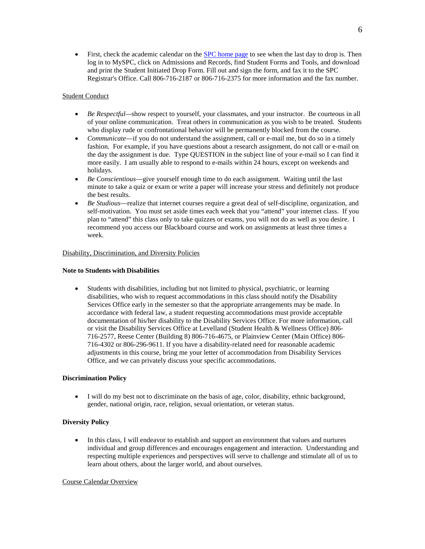• First, check the academic calendar on th[e SPC home page](http://www.southplainscollege.edu/) to see when the last day to drop is. Then log in to MySPC, click on Admissions and Records, find Student Forms and Tools, and download and print the Student Initiated Drop Form. Fill out and sign the form, and fax it to the SPC Registrar's Office. Call 806-716-2187 or 806-716-2375 for more information and the fax number.

## Student Conduct

- *Be Respectful—show respect to yourself, your classmates, and your instructor. Be courteous in all* of your online communication. Treat others in communication as you wish to be treated. Students who display rude or confrontational behavior will be permanently blocked from the course.
- *Communicate*—if you do not understand the assignment, call or e-mail me, but do so in a timely fashion. For example, if you have questions about a research assignment, do not call or e-mail on the day the assignment is due. Type QUESTION in the subject line of your e-mail so I can find it more easily. I am usually able to respond to e-mails within 24 hours, except on weekends and holidays.
- *Be Conscientious*—give yourself enough time to do each assignment. Waiting until the last minute to take a quiz or exam or write a paper will increase your stress and definitely not produce the best results.
- *Be Studious*—realize that internet courses require a great deal of self-discipline, organization, and self-motivation. You must set aside times each week that you "attend" your internet class. If you plan to "attend" this class only to take quizzes or exams, you will not do as well as you desire. I recommend you access our Blackboard course and work on assignments at least three times a week.

## Disability, Discrimination, and Diversity Policies

#### **Note to Students with Disabilities**

• Students with disabilities, including but not limited to physical, psychiatric, or learning disabilities, who wish to request accommodations in this class should notify the Disability Services Office early in the semester so that the appropriate arrangements may be made. In accordance with federal law, a student requesting accommodations must provide acceptable documentation of his/her disability to the Disability Services Office. For more information, call or visit the Disability Services Office at Levelland (Student Health & Wellness Office) 806- 716-2577, Reese Center (Building 8) 806-716-4675, or Plainview Center (Main Office) 806- 716-4302 or 806-296-9611. If you have a disability-related need for reasonable academic adjustments in this course, bring me your letter of accommodation from Disability Services Office, and we can privately discuss your specific accommodations.

#### **Discrimination Policy**

• I will do my best not to discriminate on the basis of age, color, disability, ethnic background, gender, national origin, race, religion, sexual orientation, or veteran status.

## **Diversity Policy**

• In this class, I will endeavor to establish and support an environment that values and nurtures individual and group differences and encourages engagement and interaction. Understanding and respecting multiple experiences and perspectives will serve to challenge and stimulate all of us to learn about others, about the larger world, and about ourselves.

#### Course Calendar Overview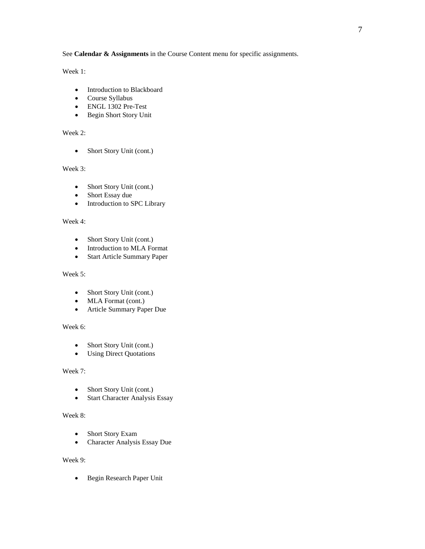See **Calendar & Assignments** in the Course Content menu for specific assignments.

Week 1:

- Introduction to Blackboard
- Course Syllabus
- ENGL 1302 Pre-Test
- Begin Short Story Unit

Week 2:

• Short Story Unit (cont.)

Week 3:

- Short Story Unit (cont.)
- Short Essay due
- Introduction to SPC Library

# Week 4:

- Short Story Unit (cont.)
- Introduction to MLA Format
- Start Article Summary Paper

# Week 5:

- Short Story Unit (cont.)
- MLA Format (cont.)
- Article Summary Paper Due

# Week 6:

- Short Story Unit (cont.)
- Using Direct Quotations

# Week 7:

- Short Story Unit (cont.)
- Start Character Analysis Essay

# Week 8:

- Short Story Exam
- Character Analysis Essay Due

# Week 9:

• Begin Research Paper Unit